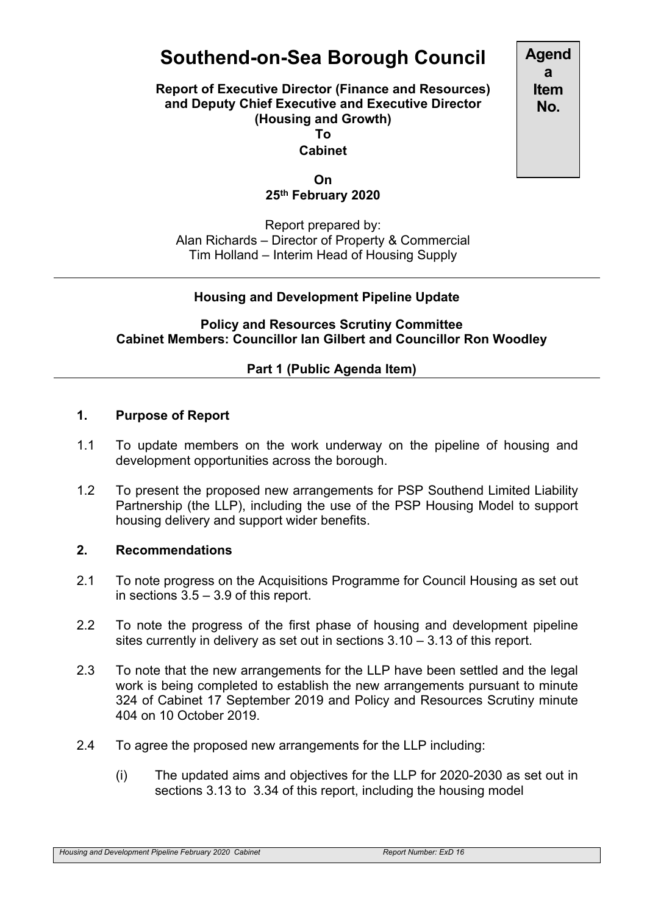# **Southend-on-Sea Borough Council**

**Report of Executive Director (Finance and Resources) and Deputy Chief Executive and Executive Director (Housing and Growth) To**

**Cabinet**

**On 25th February 2020**

Report prepared by: Alan Richards – Director of Property & Commercial Tim Holland – Interim Head of Housing Supply

## **Housing and Development Pipeline Update**

**Policy and Resources Scrutiny Committee Cabinet Members: Councillor Ian Gilbert and Councillor Ron Woodley**

## **Part 1 (Public Agenda Item)**

## **1. Purpose of Report**

- 1.1 To update members on the work underway on the pipeline of housing and development opportunities across the borough.
- 1.2 To present the proposed new arrangements for PSP Southend Limited Liability Partnership (the LLP), including the use of the PSP Housing Model to support housing delivery and support wider benefits.

#### **2. Recommendations**

- 2.1 To note progress on the Acquisitions Programme for Council Housing as set out in sections 3.5 – 3.9 of this report.
- 2.2 To note the progress of the first phase of housing and development pipeline sites currently in delivery as set out in sections 3.10 – 3.13 of this report.
- 2.3 To note that the new arrangements for the LLP have been settled and the legal work is being completed to establish the new arrangements pursuant to minute 324 of Cabinet 17 September 2019 and Policy and Resources Scrutiny minute 404 on 10 October 2019.
- 2.4 To agree the proposed new arrangements for the LLP including:
	- (i) The updated aims and objectives for the LLP for 2020-2030 as set out in sections 3.13 to 3.34 of this report, including the housing model

**Agend a Item No.**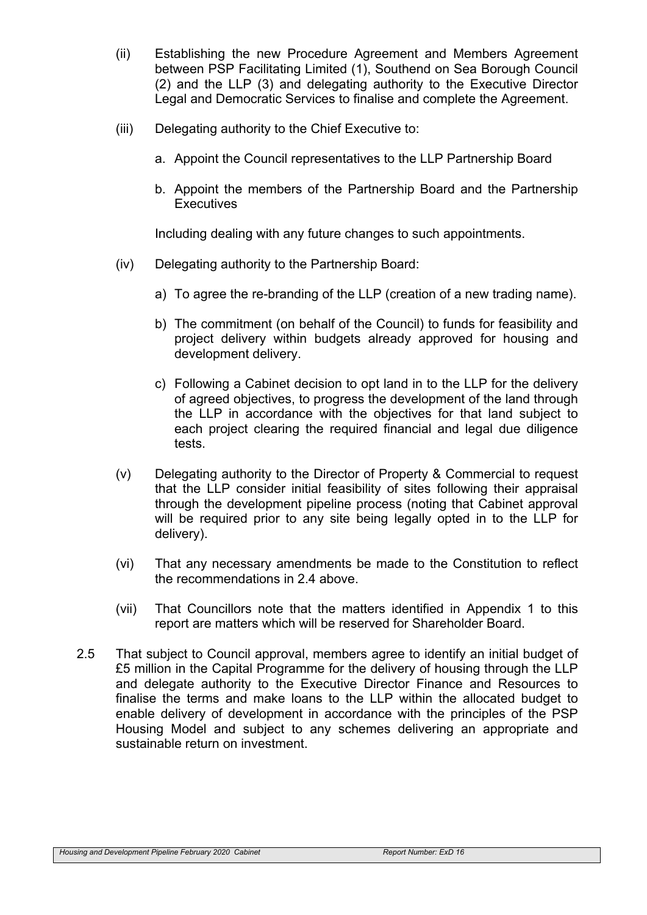- (ii) Establishing the new Procedure Agreement and Members Agreement between PSP Facilitating Limited (1), Southend on Sea Borough Council (2) and the LLP (3) and delegating authority to the Executive Director Legal and Democratic Services to finalise and complete the Agreement.
- (iii) Delegating authority to the Chief Executive to:
	- a. Appoint the Council representatives to the LLP Partnership Board
	- b. Appoint the members of the Partnership Board and the Partnership **Executives**

Including dealing with any future changes to such appointments.

- (iv) Delegating authority to the Partnership Board:
	- a) To agree the re-branding of the LLP (creation of a new trading name).
	- b) The commitment (on behalf of the Council) to funds for feasibility and project delivery within budgets already approved for housing and development delivery.
	- c) Following a Cabinet decision to opt land in to the LLP for the delivery of agreed objectives, to progress the development of the land through the LLP in accordance with the objectives for that land subject to each project clearing the required financial and legal due diligence tests.
- (v) Delegating authority to the Director of Property & Commercial to request that the LLP consider initial feasibility of sites following their appraisal through the development pipeline process (noting that Cabinet approval will be required prior to any site being legally opted in to the LLP for delivery).
- (vi) That any necessary amendments be made to the Constitution to reflect the recommendations in 2.4 above.
- (vii) That Councillors note that the matters identified in Appendix 1 to this report are matters which will be reserved for Shareholder Board.
- 2.5 That subject to Council approval, members agree to identify an initial budget of £5 million in the Capital Programme for the delivery of housing through the LLP and delegate authority to the Executive Director Finance and Resources to finalise the terms and make loans to the LLP within the allocated budget to enable delivery of development in accordance with the principles of the PSP Housing Model and subject to any schemes delivering an appropriate and sustainable return on investment.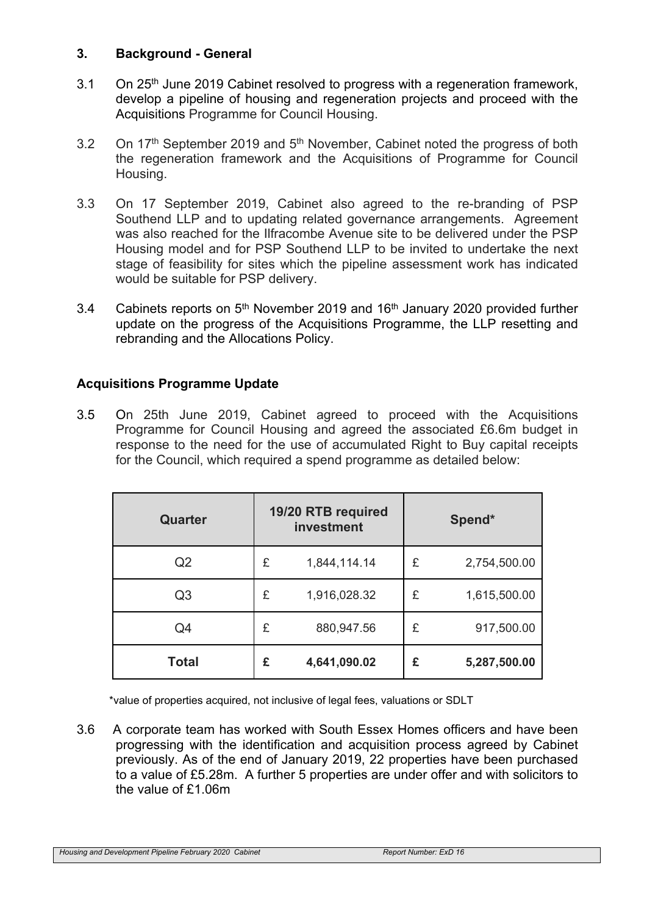## **3. Background - General**

- 3.1 On 25<sup>th</sup> June 2019 Cabinet resolved to progress with a regeneration framework, develop a pipeline of housing and regeneration projects and proceed with the Acquisitions Programme for Council Housing.
- 3.2 On 17<sup>th</sup> September 2019 and 5<sup>th</sup> November, Cabinet noted the progress of both the regeneration framework and the Acquisitions of Programme for Council Housing.
- 3.3 On 17 September 2019, Cabinet also agreed to the re-branding of PSP Southend LLP and to updating related governance arrangements. Agreement was also reached for the Ilfracombe Avenue site to be delivered under the PSP Housing model and for PSP Southend LLP to be invited to undertake the next stage of feasibility for sites which the pipeline assessment work has indicated would be suitable for PSP delivery.
- 3.4 Cabinets reports on 5<sup>th</sup> November 2019 and 16<sup>th</sup> January 2020 provided further update on the progress of the Acquisitions Programme, the LLP resetting and rebranding and the Allocations Policy.

# **Acquisitions Programme Update**

3.5 On 25th June 2019, Cabinet agreed to proceed with the Acquisitions Programme for Council Housing and agreed the associated £6.6m budget in response to the need for the use of accumulated Right to Buy capital receipts for the Council, which required a spend programme as detailed below:

| Quarter        | 19/20 RTB required<br>investment |              | Spend* |              |
|----------------|----------------------------------|--------------|--------|--------------|
| Q2             | £                                | 1,844,114.14 | £      | 2,754,500.00 |
| Q <sub>3</sub> | £                                | 1,916,028.32 | £      | 1,615,500.00 |
| Q4             | £                                | 880,947.56   | £      | 917,500.00   |
| <b>Total</b>   | £                                | 4,641,090.02 | £      | 5,287,500.00 |

\*value of properties acquired, not inclusive of legal fees, valuations or SDLT

3.6 A corporate team has worked with South Essex Homes officers and have been progressing with the identification and acquisition process agreed by Cabinet previously. As of the end of January 2019, 22 properties have been purchased to a value of £5.28m. A further 5 properties are under offer and with solicitors to the value of £1.06m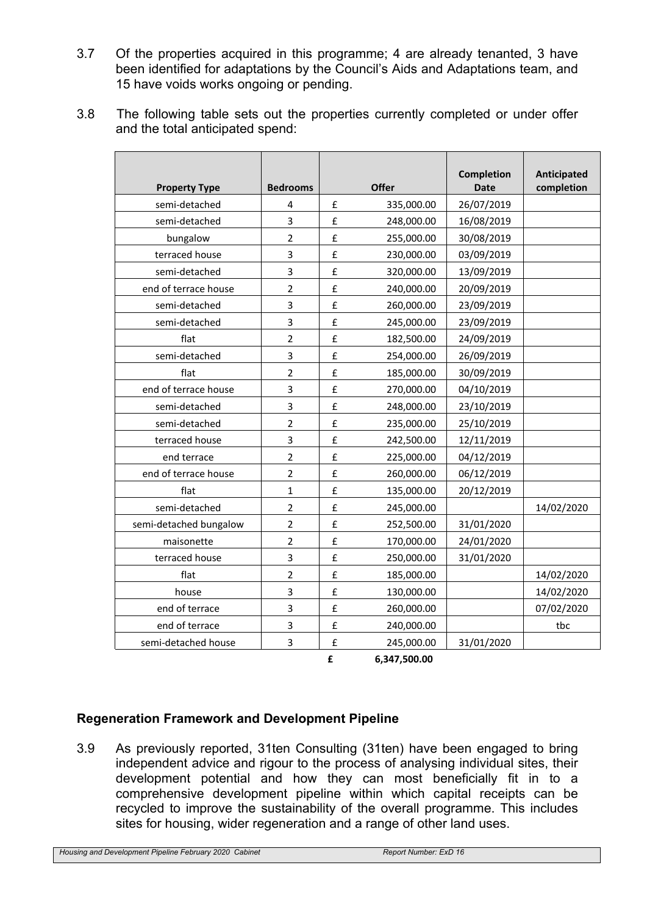- 3.7 Of the properties acquired in this programme; 4 are already tenanted, 3 have been identified for adaptations by the Council's Aids and Adaptations team, and 15 have voids works ongoing or pending.
- 3.8 The following table sets out the properties currently completed or under offer and the total anticipated spend:

| <b>Property Type</b>   | <b>Bedrooms</b> |   | <b>Offer</b> | Completion<br><b>Date</b> | Anticipated<br>completion |
|------------------------|-----------------|---|--------------|---------------------------|---------------------------|
| semi-detached          | 4               | £ | 335,000.00   | 26/07/2019                |                           |
| semi-detached          | 3               | £ | 248,000.00   | 16/08/2019                |                           |
| bungalow               | $\overline{2}$  | £ | 255,000.00   | 30/08/2019                |                           |
| terraced house         | 3               | £ | 230,000.00   | 03/09/2019                |                           |
| semi-detached          | 3               | £ | 320,000.00   | 13/09/2019                |                           |
| end of terrace house   | $\overline{2}$  | £ | 240,000.00   | 20/09/2019                |                           |
| semi-detached          | 3               | £ | 260,000.00   | 23/09/2019                |                           |
| semi-detached          | 3               | £ | 245,000.00   | 23/09/2019                |                           |
| flat                   | $\overline{2}$  | £ | 182,500.00   | 24/09/2019                |                           |
| semi-detached          | 3               | £ | 254,000.00   | 26/09/2019                |                           |
| flat                   | $\overline{2}$  | £ | 185,000.00   | 30/09/2019                |                           |
| end of terrace house   | 3               | £ | 270,000.00   | 04/10/2019                |                           |
| semi-detached          | 3               | £ | 248,000.00   | 23/10/2019                |                           |
| semi-detached          | $\overline{2}$  | £ | 235,000.00   | 25/10/2019                |                           |
| terraced house         | 3               | £ | 242,500.00   | 12/11/2019                |                           |
| end terrace            | $\overline{2}$  | £ | 225,000.00   | 04/12/2019                |                           |
| end of terrace house   | $\overline{2}$  | £ | 260,000.00   | 06/12/2019                |                           |
| flat                   | $\mathbf{1}$    | £ | 135,000.00   | 20/12/2019                |                           |
| semi-detached          | $\overline{2}$  | £ | 245,000.00   |                           | 14/02/2020                |
| semi-detached bungalow | $\overline{2}$  | £ | 252,500.00   | 31/01/2020                |                           |
| maisonette             | $\overline{2}$  | £ | 170,000.00   | 24/01/2020                |                           |
| terraced house         | 3               | £ | 250,000.00   | 31/01/2020                |                           |
| flat                   | $\overline{2}$  | £ | 185,000.00   |                           | 14/02/2020                |
| house                  | 3               | £ | 130,000.00   |                           | 14/02/2020                |
| end of terrace         | 3               | £ | 260,000.00   |                           | 07/02/2020                |
| end of terrace         | 3               | £ | 240,000.00   |                           | tbc                       |
| semi-detached house    | 3               | £ | 245,000.00   | 31/01/2020                |                           |

**£ 6,347,500.00**

# **Regeneration Framework and Development Pipeline**

3.9 As previously reported, 31ten Consulting (31ten) have been engaged to bring independent advice and rigour to the process of analysing individual sites, their development potential and how they can most beneficially fit in to a comprehensive development pipeline within which capital receipts can be recycled to improve the sustainability of the overall programme. This includes sites for housing, wider regeneration and a range of other land uses.

*Housing and Development Pipeline February 2020 Cabinet Report Number: ExD 16*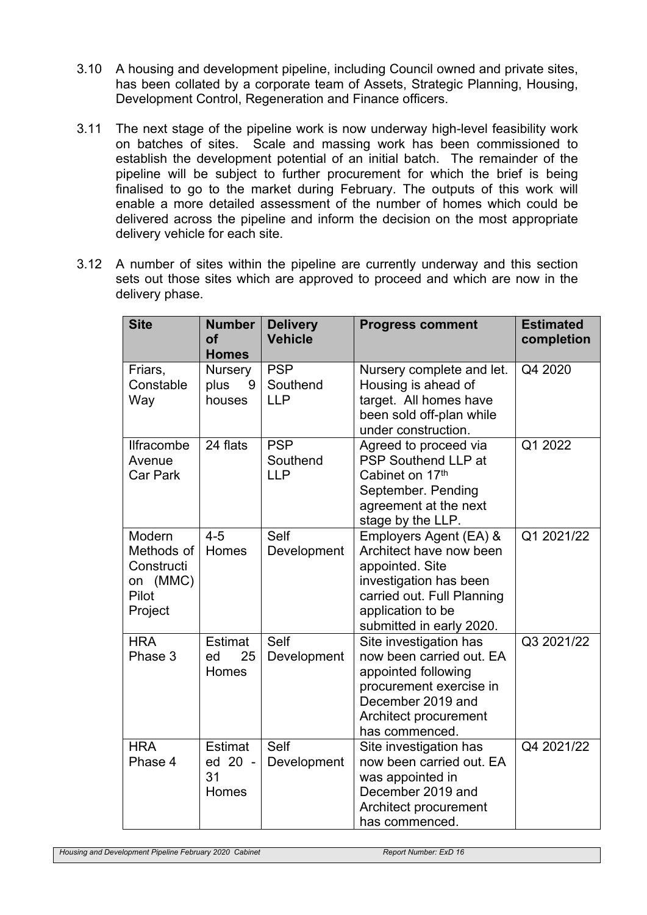- 3.10 A housing and development pipeline, including Council owned and private sites, has been collated by a corporate team of Assets, Strategic Planning, Housing, Development Control, Regeneration and Finance officers.
- 3.11 The next stage of the pipeline work is now underway high-level feasibility work on batches of sites. Scale and massing work has been commissioned to establish the development potential of an initial batch. The remainder of the pipeline will be subject to further procurement for which the brief is being finalised to go to the market during February. The outputs of this work will enable a more detailed assessment of the number of homes which could be delivered across the pipeline and inform the decision on the most appropriate delivery vehicle for each site.
- 3.12 A number of sites within the pipeline are currently underway and this section sets out those sites which are approved to proceed and which are now in the delivery phase.

| <b>Site</b>                                                        | <b>Number</b><br><b>of</b><br><b>Homes</b> | <b>Delivery</b><br><b>Vehicle</b>    | <b>Progress comment</b>                                                                                                                                                       | <b>Estimated</b><br>completion |
|--------------------------------------------------------------------|--------------------------------------------|--------------------------------------|-------------------------------------------------------------------------------------------------------------------------------------------------------------------------------|--------------------------------|
| Friars,<br>Constable<br>Way                                        | <b>Nursery</b><br>plus<br>9<br>houses      | <b>PSP</b><br>Southend<br><b>LLP</b> | Nursery complete and let.<br>Housing is ahead of<br>target. All homes have<br>been sold off-plan while<br>under construction.                                                 | Q4 2020                        |
| <b>Ilfracombe</b><br>Avenue<br><b>Car Park</b>                     | 24 flats                                   | <b>PSP</b><br>Southend<br><b>LLP</b> | Agreed to proceed via<br><b>PSP Southend LLP at</b><br>Cabinet on 17th<br>September. Pending<br>agreement at the next<br>stage by the LLP.                                    | Q1 2022                        |
| Modern<br>Methods of<br>Constructi<br>on (MMC)<br>Pilot<br>Project | $4 - 5$<br>Homes                           | Self<br>Development                  | Employers Agent (EA) &<br>Architect have now been<br>appointed. Site<br>investigation has been<br>carried out. Full Planning<br>application to be<br>submitted in early 2020. | Q1 2021/22                     |
| <b>HRA</b><br>Phase 3                                              | <b>Estimat</b><br>ed<br>25<br>Homes        | Self<br>Development                  | Site investigation has<br>now been carried out. EA<br>appointed following<br>procurement exercise in<br>December 2019 and<br>Architect procurement<br>has commenced.          | Q3 2021/22                     |
| <b>HRA</b><br>Phase 4                                              | Estimat<br>ed 20 -<br>31<br>Homes          | Self<br>Development                  | Site investigation has<br>now been carried out. EA<br>was appointed in<br>December 2019 and<br>Architect procurement<br>has commenced.                                        | Q4 2021/22                     |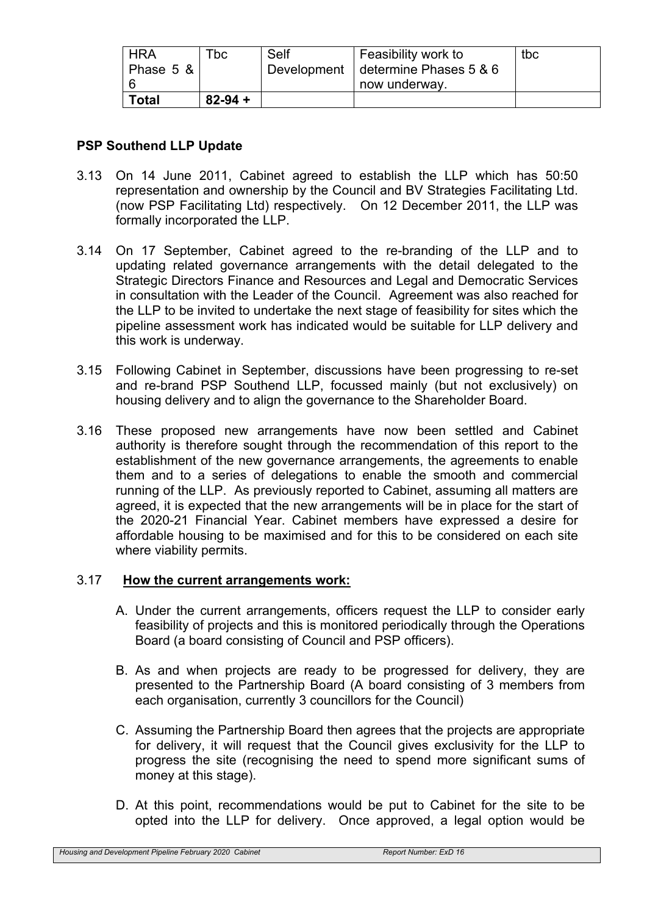| ' HRA     | $\mathsf{^{T}DC}$ . | Self | Feasibility work to                  | tbc |
|-----------|---------------------|------|--------------------------------------|-----|
| Phase 5 & |                     |      | Development   determine Phases 5 & 6 |     |
|           |                     |      | now underway.                        |     |
| Total     | $82 - 94 +$         |      |                                      |     |

# **PSP Southend LLP Update**

- 3.13 On 14 June 2011, Cabinet agreed to establish the LLP which has 50:50 representation and ownership by the Council and BV Strategies Facilitating Ltd. (now PSP Facilitating Ltd) respectively. On 12 December 2011, the LLP was formally incorporated the LLP.
- 3.14 On 17 September, Cabinet agreed to the re-branding of the LLP and to updating related governance arrangements with the detail delegated to the Strategic Directors Finance and Resources and Legal and Democratic Services in consultation with the Leader of the Council. Agreement was also reached for the LLP to be invited to undertake the next stage of feasibility for sites which the pipeline assessment work has indicated would be suitable for LLP delivery and this work is underway.
- 3.15 Following Cabinet in September, discussions have been progressing to re-set and re-brand PSP Southend LLP, focussed mainly (but not exclusively) on housing delivery and to align the governance to the Shareholder Board.
- 3.16 These proposed new arrangements have now been settled and Cabinet authority is therefore sought through the recommendation of this report to the establishment of the new governance arrangements, the agreements to enable them and to a series of delegations to enable the smooth and commercial running of the LLP. As previously reported to Cabinet, assuming all matters are agreed, it is expected that the new arrangements will be in place for the start of the 2020-21 Financial Year. Cabinet members have expressed a desire for affordable housing to be maximised and for this to be considered on each site where viability permits.

# 3.17 **How the current arrangements work:**

- A. Under the current arrangements, officers request the LLP to consider early feasibility of projects and this is monitored periodically through the Operations Board (a board consisting of Council and PSP officers).
- B. As and when projects are ready to be progressed for delivery, they are presented to the Partnership Board (A board consisting of 3 members from each organisation, currently 3 councillors for the Council)
- C. Assuming the Partnership Board then agrees that the projects are appropriate for delivery, it will request that the Council gives exclusivity for the LLP to progress the site (recognising the need to spend more significant sums of money at this stage).
- D. At this point, recommendations would be put to Cabinet for the site to be opted into the LLP for delivery. Once approved, a legal option would be

*Housing and Development Pipeline February 2020 Cabinet Report Number: ExD 16*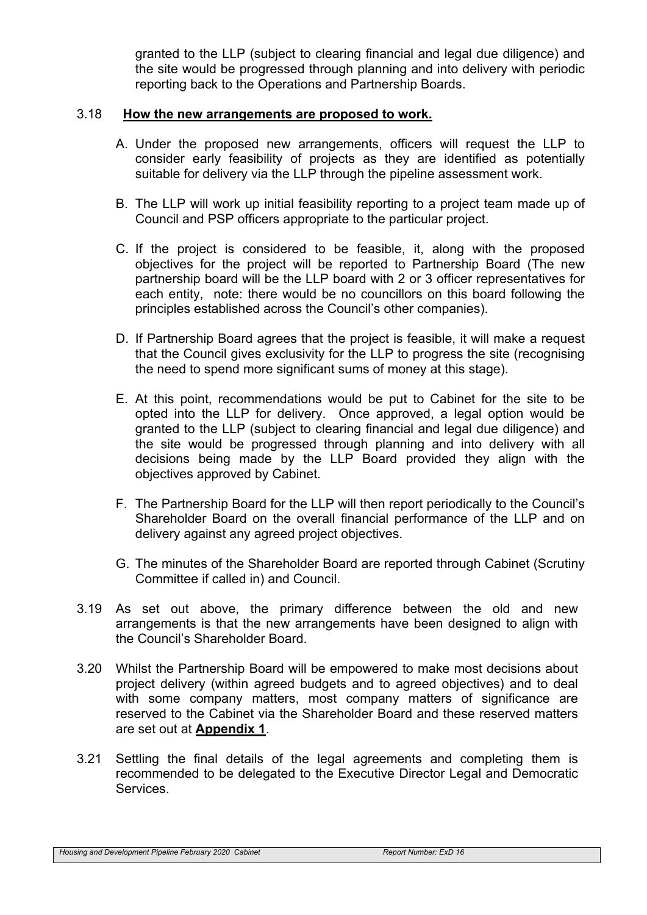granted to the LLP (subject to clearing financial and legal due diligence) and the site would be progressed through planning and into delivery with periodic reporting back to the Operations and Partnership Boards.

#### 3.18 **How the new arrangements are proposed to work.**

- A. Under the proposed new arrangements, officers will request the LLP to consider early feasibility of projects as they are identified as potentially suitable for delivery via the LLP through the pipeline assessment work.
- B. The LLP will work up initial feasibility reporting to a project team made up of Council and PSP officers appropriate to the particular project.
- C. If the project is considered to be feasible, it, along with the proposed objectives for the project will be reported to Partnership Board (The new partnership board will be the LLP board with 2 or 3 officer representatives for each entity, note: there would be no councillors on this board following the principles established across the Council's other companies).
- D. If Partnership Board agrees that the project is feasible, it will make a request that the Council gives exclusivity for the LLP to progress the site (recognising the need to spend more significant sums of money at this stage).
- E. At this point, recommendations would be put to Cabinet for the site to be opted into the LLP for delivery. Once approved, a legal option would be granted to the LLP (subject to clearing financial and legal due diligence) and the site would be progressed through planning and into delivery with all decisions being made by the LLP Board provided they align with the objectives approved by Cabinet.
- F. The Partnership Board for the LLP will then report periodically to the Council's Shareholder Board on the overall financial performance of the LLP and on delivery against any agreed project objectives.
- G. The minutes of the Shareholder Board are reported through Cabinet (Scrutiny Committee if called in) and Council.
- 3.19 As set out above, the primary difference between the old and new arrangements is that the new arrangements have been designed to align with the Council's Shareholder Board.
- 3.20 Whilst the Partnership Board will be empowered to make most decisions about project delivery (within agreed budgets and to agreed objectives) and to deal with some company matters, most company matters of significance are reserved to the Cabinet via the Shareholder Board and these reserved matters are set out at **Appendix 1**.
- 3.21 Settling the final details of the legal agreements and completing them is recommended to be delegated to the Executive Director Legal and Democratic Services.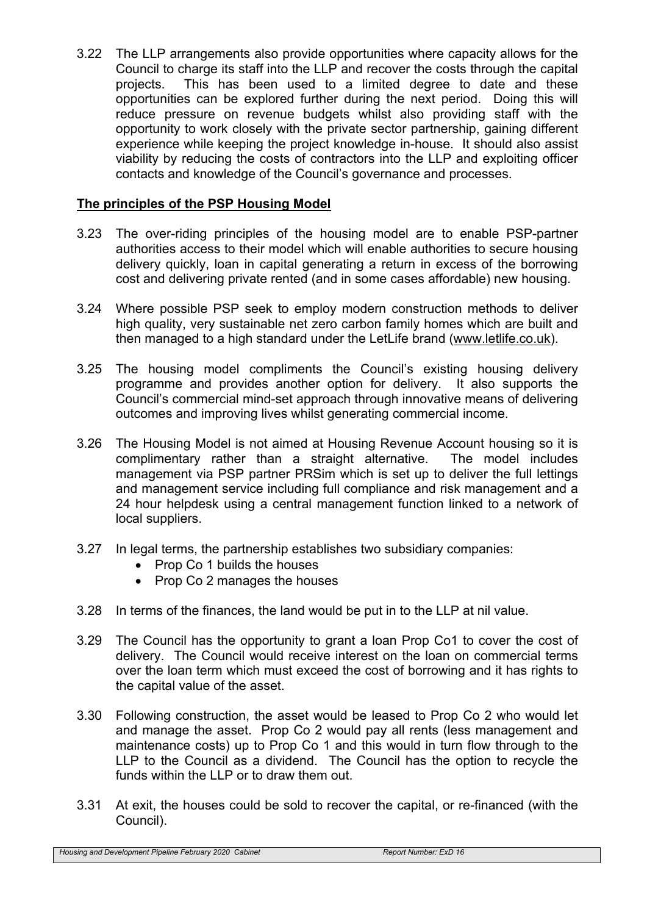3.22 The LLP arrangements also provide opportunities where capacity allows for the Council to charge its staff into the LLP and recover the costs through the capital projects. This has been used to a limited degree to date and these opportunities can be explored further during the next period. Doing this will reduce pressure on revenue budgets whilst also providing staff with the opportunity to work closely with the private sector partnership, gaining different experience while keeping the project knowledge in-house. It should also assist viability by reducing the costs of contractors into the LLP and exploiting officer contacts and knowledge of the Council's governance and processes.

# **The principles of the PSP Housing Model**

- 3.23 The over-riding principles of the housing model are to enable PSP-partner authorities access to their model which will enable authorities to secure housing delivery quickly, loan in capital generating a return in excess of the borrowing cost and delivering private rented (and in some cases affordable) new housing.
- 3.24 Where possible PSP seek to employ modern construction methods to deliver high quality, very sustainable net zero carbon family homes which are built and then managed to a high standard under the LetLife brand [\(www.letlife.co.uk\)](http://www.letlife.co.uk/).
- 3.25 The housing model compliments the Council's existing housing delivery programme and provides another option for delivery. It also supports the Council's commercial mind-set approach through innovative means of delivering outcomes and improving lives whilst generating commercial income.
- 3.26 The Housing Model is not aimed at Housing Revenue Account housing so it is complimentary rather than a straight alternative. The model includes management via PSP partner PRSim which is set up to deliver the full lettings and management service including full compliance and risk management and a 24 hour helpdesk using a central management function linked to a network of local suppliers.
- 3.27 In legal terms, the partnership establishes two subsidiary companies:
	- Prop Co 1 builds the houses
	- Prop Co 2 manages the houses
- 3.28 In terms of the finances, the land would be put in to the LLP at nil value.
- 3.29 The Council has the opportunity to grant a loan Prop Co1 to cover the cost of delivery. The Council would receive interest on the loan on commercial terms over the loan term which must exceed the cost of borrowing and it has rights to the capital value of the asset.
- 3.30 Following construction, the asset would be leased to Prop Co 2 who would let and manage the asset. Prop Co 2 would pay all rents (less management and maintenance costs) up to Prop Co 1 and this would in turn flow through to the LLP to the Council as a dividend. The Council has the option to recycle the funds within the LLP or to draw them out.
- 3.31 At exit, the houses could be sold to recover the capital, or re-financed (with the Council).

*Housing and Development Pipeline February 2020 Cabinet Report Number: ExD 16*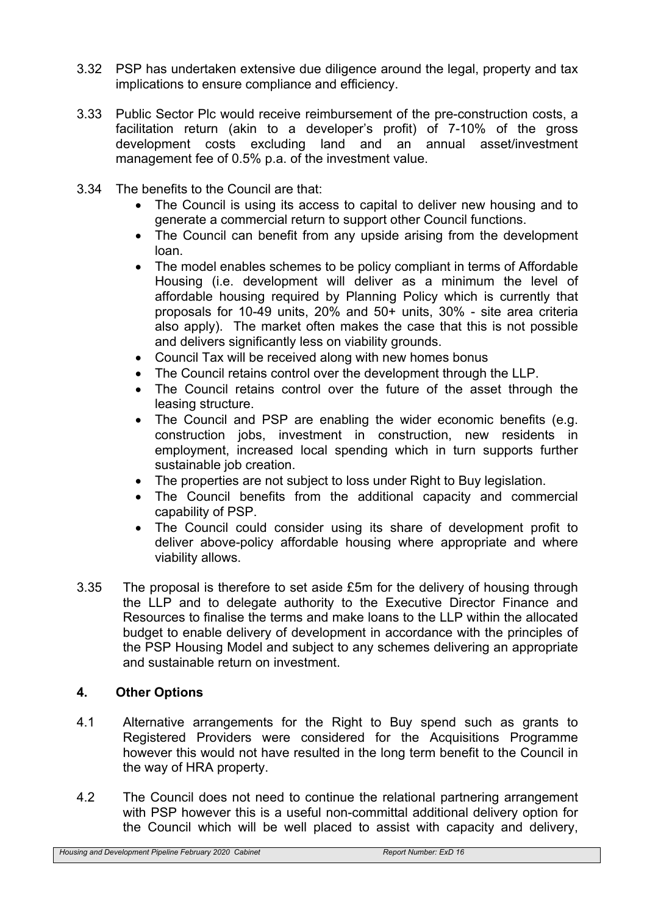- 3.32 PSP has undertaken extensive due diligence around the legal, property and tax implications to ensure compliance and efficiency.
- 3.33 Public Sector Plc would receive reimbursement of the pre-construction costs, a facilitation return (akin to a developer's profit) of 7-10% of the gross development costs excluding land and an annual asset/investment management fee of 0.5% p.a. of the investment value.
- 3.34 The benefits to the Council are that:
	- The Council is using its access to capital to deliver new housing and to generate a commercial return to support other Council functions.
	- The Council can benefit from any upside arising from the development loan.
	- The model enables schemes to be policy compliant in terms of Affordable Housing (i.e. development will deliver as a minimum the level of affordable housing required by Planning Policy which is currently that proposals for 10-49 units, 20% and 50+ units, 30% - site area criteria also apply). The market often makes the case that this is not possible and delivers significantly less on viability grounds.
	- Council Tax will be received along with new homes bonus
	- The Council retains control over the development through the LLP.
	- The Council retains control over the future of the asset through the leasing structure.
	- The Council and PSP are enabling the wider economic benefits (e.g. construction jobs, investment in construction, new residents in employment, increased local spending which in turn supports further sustainable job creation.
	- The properties are not subject to loss under Right to Buy legislation.
	- The Council benefits from the additional capacity and commercial capability of PSP.
	- The Council could consider using its share of development profit to deliver above-policy affordable housing where appropriate and where viability allows.
- 3.35 The proposal is therefore to set aside £5m for the delivery of housing through the LLP and to delegate authority to the Executive Director Finance and Resources to finalise the terms and make loans to the LLP within the allocated budget to enable delivery of development in accordance with the principles of the PSP Housing Model and subject to any schemes delivering an appropriate and sustainable return on investment.

# **4. Other Options**

- 4.1 Alternative arrangements for the Right to Buy spend such as grants to Registered Providers were considered for the Acquisitions Programme however this would not have resulted in the long term benefit to the Council in the way of HRA property.
- 4.2 The Council does not need to continue the relational partnering arrangement with PSP however this is a useful non-committal additional delivery option for the Council which will be well placed to assist with capacity and delivery,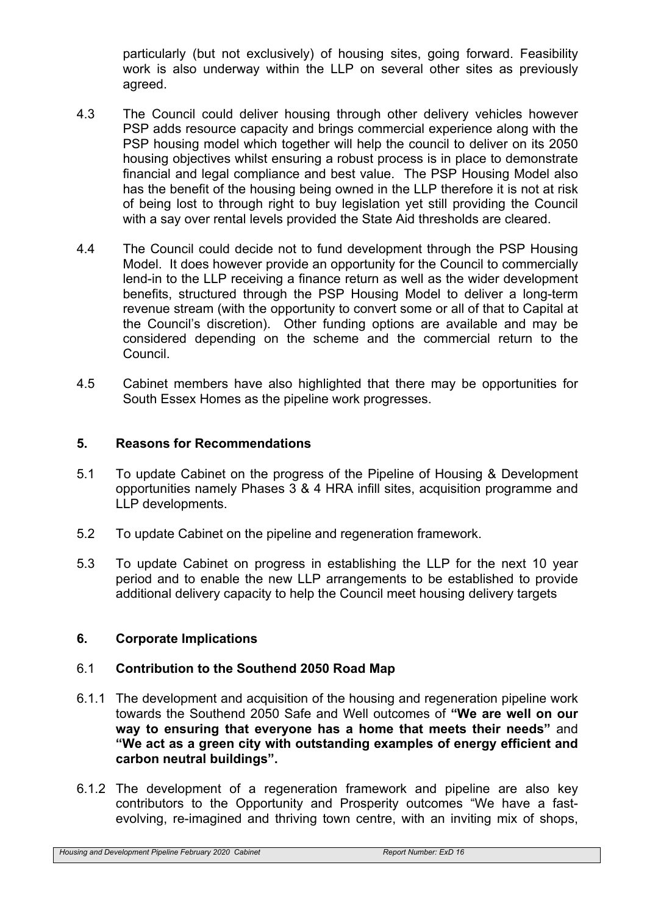particularly (but not exclusively) of housing sites, going forward. Feasibility work is also underway within the LLP on several other sites as previously agreed.

- 4.3 The Council could deliver housing through other delivery vehicles however PSP adds resource capacity and brings commercial experience along with the PSP housing model which together will help the council to deliver on its 2050 housing objectives whilst ensuring a robust process is in place to demonstrate financial and legal compliance and best value. The PSP Housing Model also has the benefit of the housing being owned in the LLP therefore it is not at risk of being lost to through right to buy legislation yet still providing the Council with a say over rental levels provided the State Aid thresholds are cleared.
- 4.4 The Council could decide not to fund development through the PSP Housing Model. It does however provide an opportunity for the Council to commercially lend-in to the LLP receiving a finance return as well as the wider development benefits, structured through the PSP Housing Model to deliver a long-term revenue stream (with the opportunity to convert some or all of that to Capital at the Council's discretion). Other funding options are available and may be considered depending on the scheme and the commercial return to the Council.
- 4.5 Cabinet members have also highlighted that there may be opportunities for South Essex Homes as the pipeline work progresses.

#### **5. Reasons for Recommendations**

- 5.1 To update Cabinet on the progress of the Pipeline of Housing & Development opportunities namely Phases 3 & 4 HRA infill sites, acquisition programme and LLP developments.
- 5.2 To update Cabinet on the pipeline and regeneration framework.
- 5.3 To update Cabinet on progress in establishing the LLP for the next 10 year period and to enable the new LLP arrangements to be established to provide additional delivery capacity to help the Council meet housing delivery targets

#### **6. Corporate Implications**

#### 6.1 **Contribution to the Southend 2050 Road Map**

- 6.1.1 The development and acquisition of the housing and regeneration pipeline work towards the Southend 2050 Safe and Well outcomes of **"We are well on our way to ensuring that everyone has a home that meets their needs"** and **"We act as a green city with outstanding examples of energy efficient and carbon neutral buildings".**
- 6.1.2 The development of a regeneration framework and pipeline are also key contributors to the Opportunity and Prosperity outcomes "We have a fastevolving, re-imagined and thriving town centre, with an inviting mix of shops,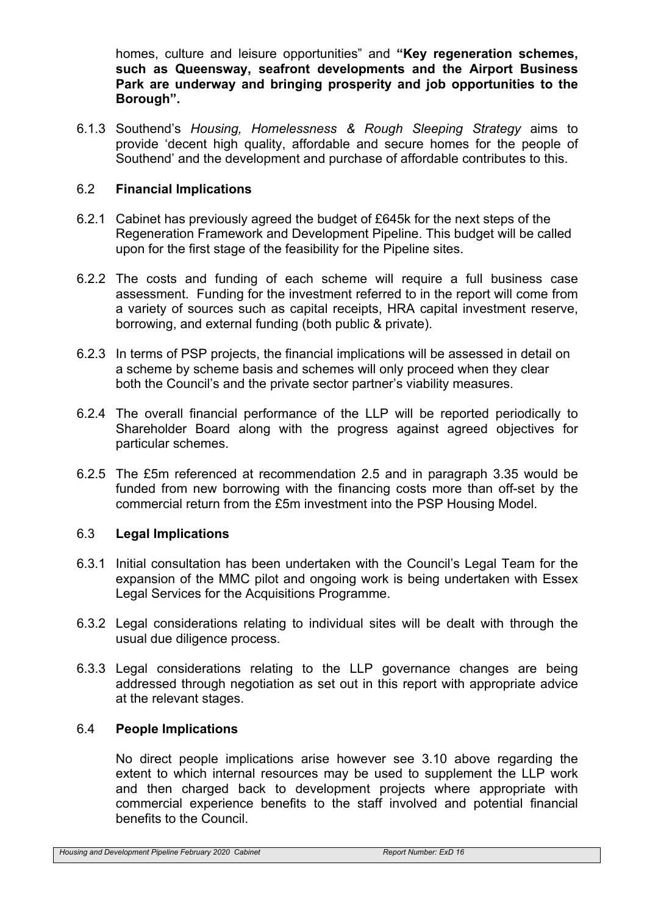homes, culture and leisure opportunities" and **"Key regeneration schemes, such as Queensway, seafront developments and the Airport Business Park are underway and bringing prosperity and job opportunities to the Borough".**

6.1.3 Southend's *Housing, Homelessness & Rough Sleeping Strategy* aims to provide 'decent high quality, affordable and secure homes for the people of Southend' and the development and purchase of affordable contributes to this.

## 6.2 **Financial Implications**

- 6.2.1 Cabinet has previously agreed the budget of £645k for the next steps of the Regeneration Framework and Development Pipeline. This budget will be called upon for the first stage of the feasibility for the Pipeline sites.
- 6.2.2 The costs and funding of each scheme will require a full business case assessment. Funding for the investment referred to in the report will come from a variety of sources such as capital receipts, HRA capital investment reserve, borrowing, and external funding (both public & private).
- 6.2.3 In terms of PSP projects, the financial implications will be assessed in detail on a scheme by scheme basis and schemes will only proceed when they clear both the Council's and the private sector partner's viability measures.
- 6.2.4 The overall financial performance of the LLP will be reported periodically to Shareholder Board along with the progress against agreed objectives for particular schemes.
- 6.2.5 The £5m referenced at recommendation 2.5 and in paragraph 3.35 would be funded from new borrowing with the financing costs more than off-set by the commercial return from the £5m investment into the PSP Housing Model.

#### 6.3 **Legal Implications**

- 6.3.1 Initial consultation has been undertaken with the Council's Legal Team for the expansion of the MMC pilot and ongoing work is being undertaken with Essex Legal Services for the Acquisitions Programme.
- 6.3.2 Legal considerations relating to individual sites will be dealt with through the usual due diligence process.
- 6.3.3 Legal considerations relating to the LLP governance changes are being addressed through negotiation as set out in this report with appropriate advice at the relevant stages.

#### 6.4 **People Implications**

No direct people implications arise however see 3.10 above regarding the extent to which internal resources may be used to supplement the LLP work and then charged back to development projects where appropriate with commercial experience benefits to the staff involved and potential financial benefits to the Council.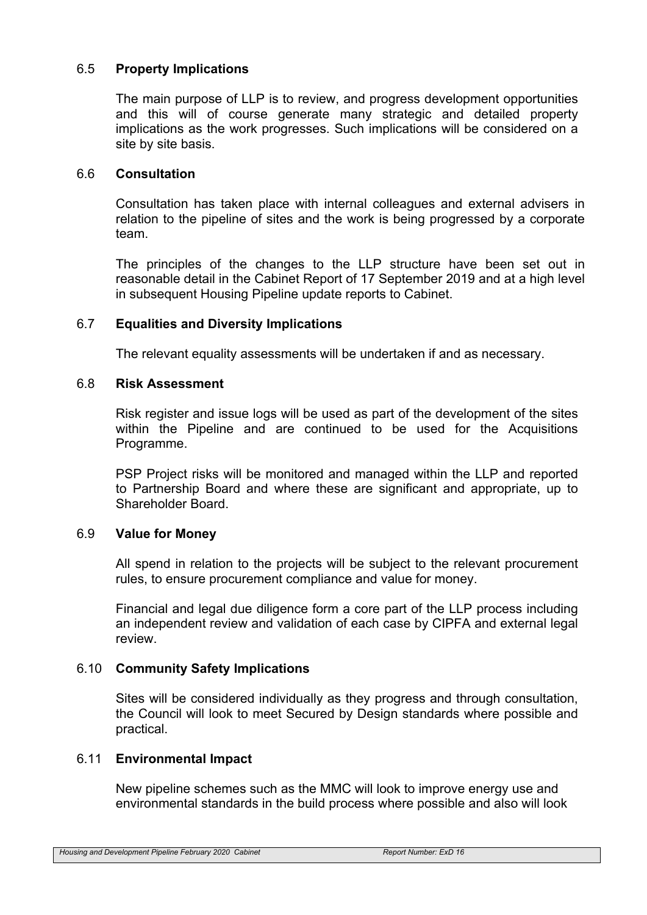## 6.5 **Property Implications**

The main purpose of LLP is to review, and progress development opportunities and this will of course generate many strategic and detailed property implications as the work progresses. Such implications will be considered on a site by site basis.

#### 6.6 **Consultation**

Consultation has taken place with internal colleagues and external advisers in relation to the pipeline of sites and the work is being progressed by a corporate team.

The principles of the changes to the LLP structure have been set out in reasonable detail in the Cabinet Report of 17 September 2019 and at a high level in subsequent Housing Pipeline update reports to Cabinet.

#### 6.7 **Equalities and Diversity Implications**

The relevant equality assessments will be undertaken if and as necessary.

#### 6.8 **Risk Assessment**

Risk register and issue logs will be used as part of the development of the sites within the Pipeline and are continued to be used for the Acquisitions Programme.

PSP Project risks will be monitored and managed within the LLP and reported to Partnership Board and where these are significant and appropriate, up to Shareholder Board.

#### 6.9 **Value for Money**

All spend in relation to the projects will be subject to the relevant procurement rules, to ensure procurement compliance and value for money.

Financial and legal due diligence form a core part of the LLP process including an independent review and validation of each case by CIPFA and external legal review.

#### 6.10 **Community Safety Implications**

Sites will be considered individually as they progress and through consultation, the Council will look to meet Secured by Design standards where possible and practical.

#### 6.11 **Environmental Impact**

New pipeline schemes such as the MMC will look to improve energy use and environmental standards in the build process where possible and also will look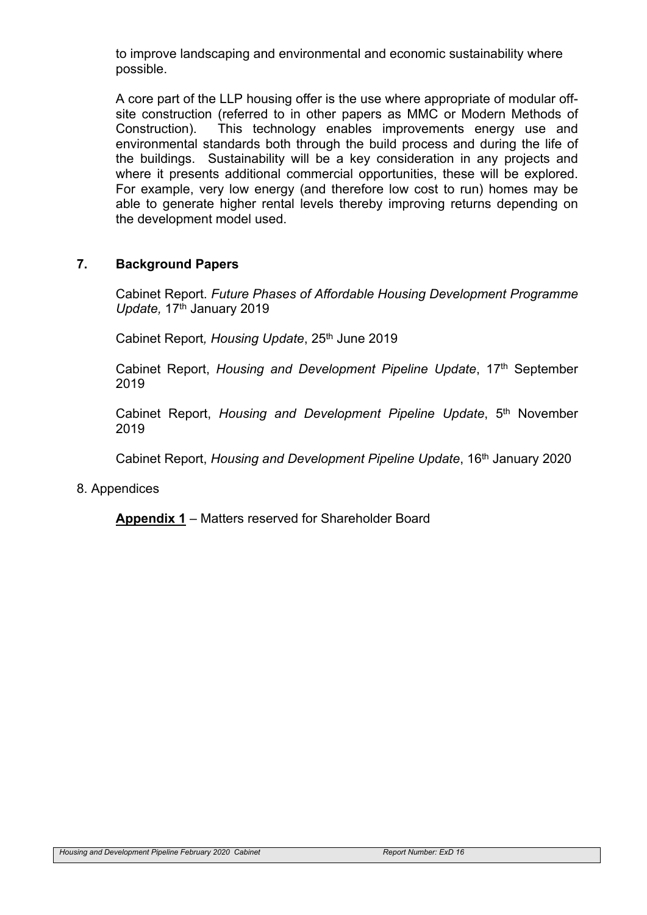to improve landscaping and environmental and economic sustainability where possible.

A core part of the LLP housing offer is the use where appropriate of modular offsite construction (referred to in other papers as MMC or Modern Methods of Construction). This technology enables improvements energy use and environmental standards both through the build process and during the life of the buildings. Sustainability will be a key consideration in any projects and where it presents additional commercial opportunities, these will be explored. For example, very low energy (and therefore low cost to run) homes may be able to generate higher rental levels thereby improving returns depending on the development model used.

#### **7. Background Papers**

Cabinet Report. *Future Phases of Affordable Housing Development Programme Update,* 17th January 2019

Cabinet Report*, Housing Update*, 25th June 2019

Cabinet Report, *Housing and Development Pipeline Update*, 17th September 2019

Cabinet Report, *Housing and Development Pipeline Update*, 5 th November 2019

Cabinet Report, *Housing and Development Pipeline Update*, 16th January 2020

#### 8. Appendices

**Appendix 1** – Matters reserved for Shareholder Board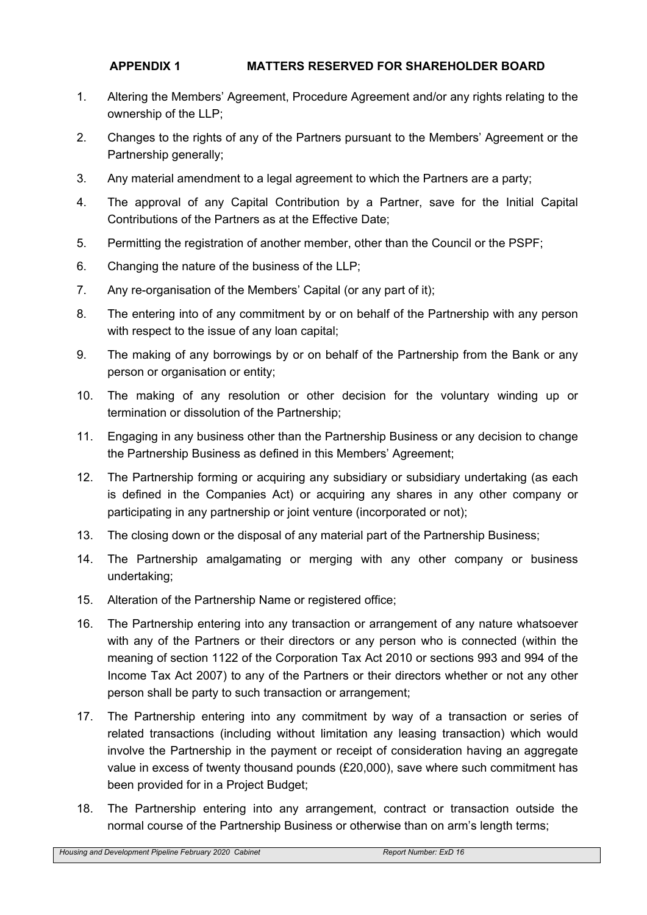### **APPENDIX 1 MATTERS RESERVED FOR SHAREHOLDER BOARD**

- 1. Altering the Members' Agreement, Procedure Agreement and/or any rights relating to the ownership of the LLP;
- 2. Changes to the rights of any of the Partners pursuant to the Members' Agreement or the Partnership generally;
- 3. Any material amendment to a legal agreement to which the Partners are a party;
- 4. The approval of any Capital Contribution by a Partner, save for the Initial Capital Contributions of the Partners as at the Effective Date;
- 5. Permitting the registration of another member, other than the Council or the PSPF;
- 6. Changing the nature of the business of the LLP;
- 7. Any re-organisation of the Members' Capital (or any part of it);
- 8. The entering into of any commitment by or on behalf of the Partnership with any person with respect to the issue of any loan capital;
- 9. The making of any borrowings by or on behalf of the Partnership from the Bank or any person or organisation or entity;
- 10. The making of any resolution or other decision for the voluntary winding up or termination or dissolution of the Partnership;
- 11. Engaging in any business other than the Partnership Business or any decision to change the Partnership Business as defined in this Members' Agreement;
- 12. The Partnership forming or acquiring any subsidiary or subsidiary undertaking (as each is defined in the Companies Act) or acquiring any shares in any other company or participating in any partnership or joint venture (incorporated or not);
- 13. The closing down or the disposal of any material part of the Partnership Business;
- 14. The Partnership amalgamating or merging with any other company or business undertaking;
- 15. Alteration of the Partnership Name or registered office;
- 16. The Partnership entering into any transaction or arrangement of any nature whatsoever with any of the Partners or their directors or any person who is connected (within the meaning of section 1122 of the Corporation Tax Act 2010 or sections 993 and 994 of the Income Tax Act 2007) to any of the Partners or their directors whether or not any other person shall be party to such transaction or arrangement;
- 17. The Partnership entering into any commitment by way of a transaction or series of related transactions (including without limitation any leasing transaction) which would involve the Partnership in the payment or receipt of consideration having an aggregate value in excess of twenty thousand pounds (£20,000), save where such commitment has been provided for in a Project Budget;
- 18. The Partnership entering into any arrangement, contract or transaction outside the normal course of the Partnership Business or otherwise than on arm's length terms;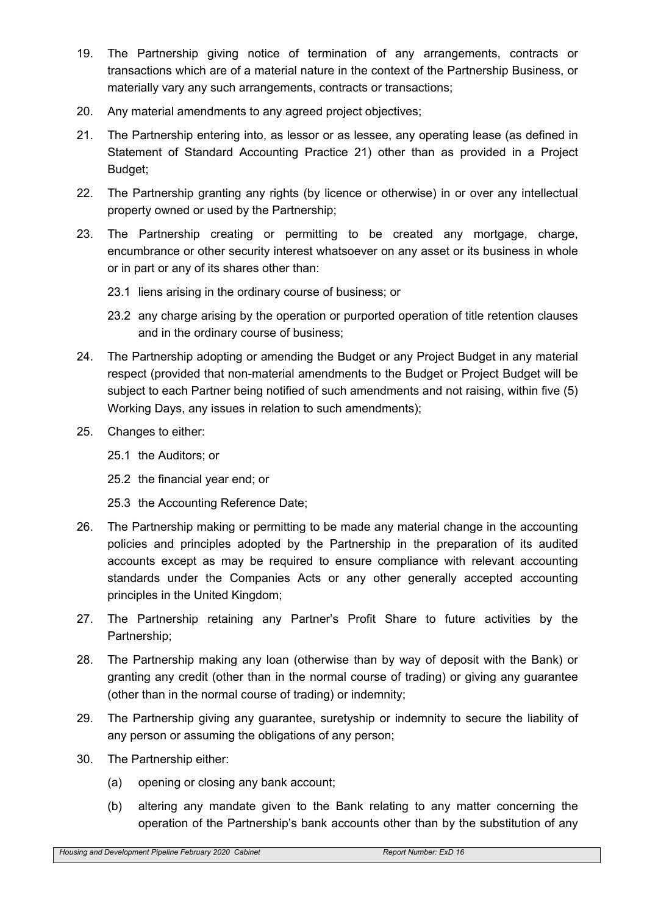- 19. The Partnership giving notice of termination of any arrangements, contracts or transactions which are of a material nature in the context of the Partnership Business, or materially vary any such arrangements, contracts or transactions;
- 20. Any material amendments to any agreed project objectives;
- 21. The Partnership entering into, as lessor or as lessee, any operating lease (as defined in Statement of Standard Accounting Practice 21) other than as provided in a Project Budget;
- 22. The Partnership granting any rights (by licence or otherwise) in or over any intellectual property owned or used by the Partnership;
- 23. The Partnership creating or permitting to be created any mortgage, charge, encumbrance or other security interest whatsoever on any asset or its business in whole or in part or any of its shares other than:
	- 23.1 liens arising in the ordinary course of business; or
	- 23.2 any charge arising by the operation or purported operation of title retention clauses and in the ordinary course of business;
- 24. The Partnership adopting or amending the Budget or any Project Budget in any material respect (provided that non-material amendments to the Budget or Project Budget will be subject to each Partner being notified of such amendments and not raising, within five (5) Working Days, any issues in relation to such amendments);
- 25. Changes to either:
	- 25.1 the Auditors; or
	- 25.2 the financial year end; or
	- 25.3 the Accounting Reference Date;
- 26. The Partnership making or permitting to be made any material change in the accounting policies and principles adopted by the Partnership in the preparation of its audited accounts except as may be required to ensure compliance with relevant accounting standards under the Companies Acts or any other generally accepted accounting principles in the United Kingdom;
- 27. The Partnership retaining any Partner's Profit Share to future activities by the Partnership;
- 28. The Partnership making any loan (otherwise than by way of deposit with the Bank) or granting any credit (other than in the normal course of trading) or giving any guarantee (other than in the normal course of trading) or indemnity;
- 29. The Partnership giving any guarantee, suretyship or indemnity to secure the liability of any person or assuming the obligations of any person;
- 30. The Partnership either:
	- (a) opening or closing any bank account;
	- (b) altering any mandate given to the Bank relating to any matter concerning the operation of the Partnership's bank accounts other than by the substitution of any